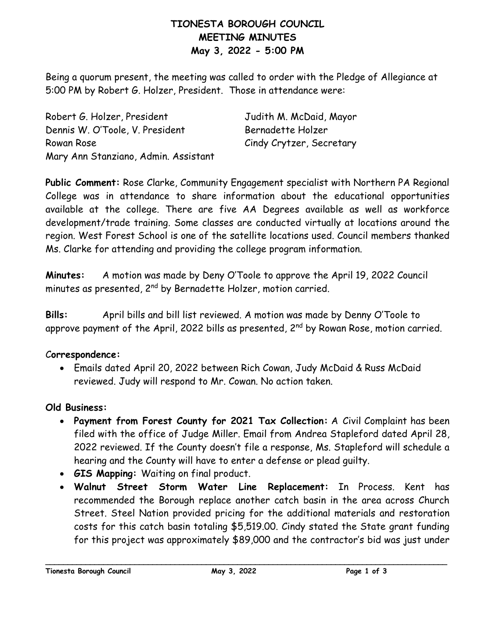# **TIONESTA BOROUGH COUNCIL MEETING MINUTES May 3, 2022 - 5:00 PM**

Being a quorum present, the meeting was called to order with the Pledge of Allegiance at 5:00 PM by Robert G. Holzer, President. Those in attendance were:

Robert G. Holzer, President Judith M. McDaid, Mayor Dennis W. O'Toole, V. President Bernadette Holzer Rowan Rose Cindy Crytzer, Secretary Mary Ann Stanziano, Admin. Assistant

**Public Comment:** Rose Clarke, Community Engagement specialist with Northern PA Regional College was in attendance to share information about the educational opportunities available at the college. There are five AA Degrees available as well as workforce development/trade training. Some classes are conducted virtually at locations around the region. West Forest School is one of the satellite locations used. Council members thanked Ms. Clarke for attending and providing the college program information.

**Minutes:** A motion was made by Deny O'Toole to approve the April 19, 2022 Council minutes as presented, 2<sup>nd</sup> by Bernadette Holzer, motion carried.

**Bills:** April bills and bill list reviewed. A motion was made by Denny O'Toole to approve payment of the April, 2022 bills as presented,  $2<sup>nd</sup>$  by Rowan Rose, motion carried.

#### C**orrespondence:**

• Emails dated April 20, 2022 between Rich Cowan, Judy McDaid & Russ McDaid reviewed. Judy will respond to Mr. Cowan. No action taken.

#### **Old Business:**

- **Payment from Forest County for 2021 Tax Collection:** A Civil Complaint has been filed with the office of Judge Miller. Email from Andrea Stapleford dated April 28, 2022 reviewed. If the County doesn't file a response, Ms. Stapleford will schedule a hearing and the County will have to enter a defense or plead guilty.
- **GIS Mapping:** Waiting on final product.
- **Walnut Street Storm Water Line Replacement:** In Process. Kent has recommended the Borough replace another catch basin in the area across Church Street. Steel Nation provided pricing for the additional materials and restoration costs for this catch basin totaling \$5,519.00. Cindy stated the State grant funding for this project was approximately \$89,000 and the contractor's bid was just under

**\_\_\_\_\_\_\_\_\_\_\_\_\_\_\_\_\_\_\_\_\_\_\_\_\_\_\_\_\_\_\_\_\_\_\_\_\_\_\_\_\_\_\_\_\_\_\_\_\_\_\_\_\_\_\_\_\_\_\_\_\_\_\_\_\_\_\_\_\_\_\_\_\_\_\_\_\_\_\_\_\_\_\_\_\_\_\_\_\_\_**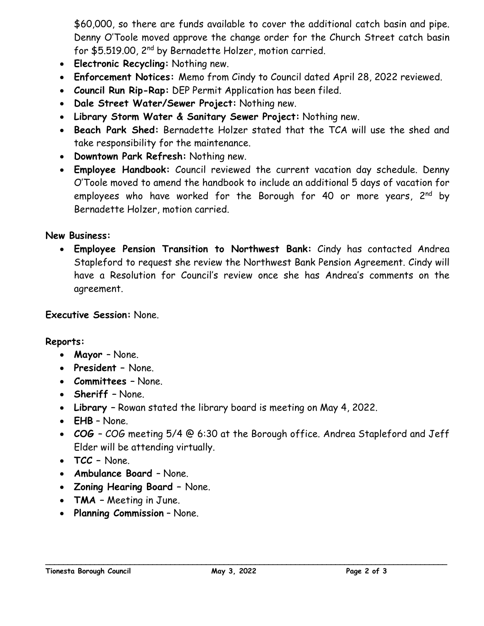\$60,000, so there are funds available to cover the additional catch basin and pipe. Denny O'Toole moved approve the change order for the Church Street catch basin for \$5.519.00, 2nd by Bernadette Holzer, motion carried.

- **Electronic Recycling:** Nothing new.
- **Enforcement Notices:** Memo from Cindy to Council dated April 28, 2022 reviewed.
- **Council Run Rip-Rap:** DEP Permit Application has been filed.
- **Dale Street Water/Sewer Project:** Nothing new.
- **Library Storm Water & Sanitary Sewer Project:** Nothing new.
- **Beach Park Shed:** Bernadette Holzer stated that the TCA will use the shed and take responsibility for the maintenance.
- **Downtown Park Refresh:** Nothing new.
- **Employee Handbook:** Council reviewed the current vacation day schedule. Denny O'Toole moved to amend the handbook to include an additional 5 days of vacation for employees who have worked for the Borough for 40 or more years, 2<sup>nd</sup> by Bernadette Holzer, motion carried.

# **New Business:**

• **Employee Pension Transition to Northwest Bank:** Cindy has contacted Andrea Stapleford to request she review the Northwest Bank Pension Agreement. Cindy will have a Resolution for Council's review once she has Andrea's comments on the agreement.

### **Executive Session:** None.

**Reports:**

- **Mayor** None.
- **President –** None.
- **Committees –** None.
- **Sheriff –** None.
- **Library –** Rowan stated the library board is meeting on May 4, 2022.
- **EHB** None.
- **COG**  COG meeting 5/4 @ 6:30 at the Borough office. Andrea Stapleford and Jeff Elder will be attending virtually.
- **TCC –** None.
- **Ambulance Board** None.
- **Zoning Hearing Board –** None.
- **TMA –** Meeting in June.
- **Planning Commission** None.

**\_\_\_\_\_\_\_\_\_\_\_\_\_\_\_\_\_\_\_\_\_\_\_\_\_\_\_\_\_\_\_\_\_\_\_\_\_\_\_\_\_\_\_\_\_\_\_\_\_\_\_\_\_\_\_\_\_\_\_\_\_\_\_\_\_\_\_\_\_\_\_\_\_\_\_\_\_\_\_\_\_\_\_\_\_\_\_\_\_\_**